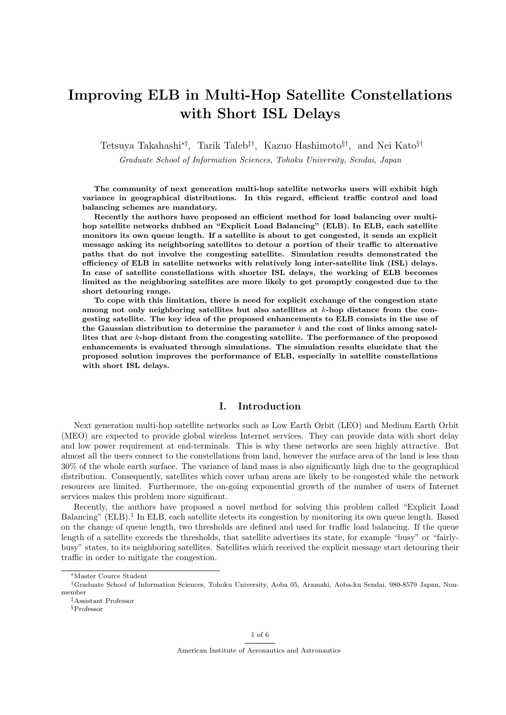# **Improving ELB in Multi-Hop Satellite Constellations with Short ISL Delays**

Tetsuya Takahashi*∗†*, Tarik Taleb*‡†*, Kazuo Hashimoto*§†*, and Nei Kato*§†*

*Graduate School of Information Sciences, Tohoku University, Sendai, Japan*

**The community of next generation multi-hop satellite networks users will exhibit high variance in geographical distributions. In this regard, efficient traffic control and load balancing schemes are mandatory.**

**Recently the authors have proposed an efficient method for load balancing over multihop satellite networks dubbed an "Explicit Load Balancing" (ELB). In ELB, each satellite monitors its own queue length. If a satellite is about to get congested, it sends an explicit message asking its neighboring satellites to detour a portion of their traffic to alternative paths that do not involve the congesting satellite. Simulation results demonstrated the efficiency of ELB in satellite networks with relatively long inter-satellite link (ISL) delays. In case of satellite constellations with shorter ISL delays, the working of ELB becomes limited as the neighboring satellites are more likely to get promptly congested due to the short detouring range.**

**To cope with this limitation, there is need for explicit exchange of the congestion state among not only neighboring satellites but also satellites at** *k***-hop distance from the congesting satellite. The key idea of the proposed enhancements to ELB consists in the use of the Gaussian distribution to determine the parameter** *k* **and the cost of links among satellites that are** *k***-hop distant from the congesting satellite. The performance of the proposed enhancements is evaluated through simulations. The simulation results elucidate that the proposed solution improves the performance of ELB, especially in satellite constellations with short ISL delays.**

# **I. Introduction**

Next generation multi-hop satellite networks such as Low Earth Orbit (LEO) and Medium Earth Orbit (MEO) are expected to provide global wireless Internet services. They can provide data with short delay and low power requirement at end-terminals. This is why these networks are seen highly attractive. But almost all the users connect to the constellations from land, however the surface area of the land is less than 30% of the whole earth surface. The variance of land mass is also significantly high due to the geographical distribution. Consequently, satellites which cover urban areas are likely to be congested while the network resources are limited. Furthermore, the on-going exponential growth of the number of users of Internet services makes this problem more significant.

Recently, the authors have proposed a novel method for solving this problem called "Explicit Load Balancing" (ELB).<sup>1</sup> In ELB, each satellite detects its congestion by monitoring its own queue length. Based on the change of queue length, two thresholds are defined and used for traffic load balancing. If the queue length of a satellite exceeds the thresholds, that satellite advertises its state, for example "busy" or "fairlybusy" states, to its neighboring satellites. Satellites which received the explicit message start detouring their traffic in order to mitigate the congestion.

*<sup>∗</sup>*Master Cource Student

*<sup>†</sup>*Graduate School of Information Sciences, Tohoku University, Aoba 05, Aramaki, Aoba-ku Sendai, 980-8579 Japan, Nonmember

*<sup>‡</sup>*Assistant Professor

*<sup>§</sup>*Professor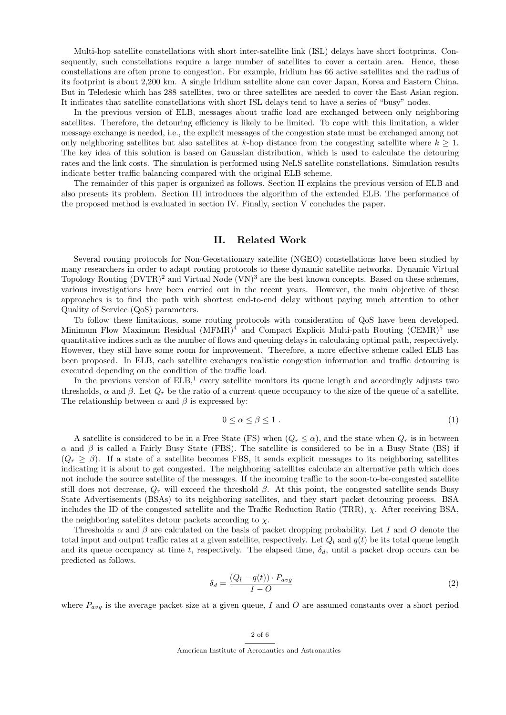Multi-hop satellite constellations with short inter-satellite link (ISL) delays have short footprints. Consequently, such constellations require a large number of satellites to cover a certain area. Hence, these constellations are often prone to congestion. For example, Iridium has 66 active satellites and the radius of its footprint is about 2,200 km. A single Iridium satellite alone can cover Japan, Korea and Eastern China. But in Teledesic which has 288 satellites, two or three satellites are needed to cover the East Asian region. It indicates that satellite constellations with short ISL delays tend to have a series of "busy" nodes.

In the previous version of ELB, messages about traffic load are exchanged between only neighboring satellites. Therefore, the detouring efficiency is likely to be limited. To cope with this limitation, a wider message exchange is needed, i.e., the explicit messages of the congestion state must be exchanged among not only neighboring satellites but also satellites at *k*-hop distance from the congesting satellite where  $k \geq 1$ . The key idea of this solution is based on Gaussian distribution, which is used to calculate the detouring rates and the link costs. The simulation is performed using NeLS satellite constellations. Simulation results indicate better traffic balancing compared with the original ELB scheme.

The remainder of this paper is organized as follows. Section II explains the previous version of ELB and also presents its problem. Section III introduces the algorithm of the extended ELB. The performance of the proposed method is evaluated in section IV. Finally, section V concludes the paper.

## **II. Related Work**

Several routing protocols for Non-Geostationary satellite (NGEO) constellations have been studied by many researchers in order to adapt routing protocols to these dynamic satellite networks. Dynamic Virtual Topology Routing  $(DVTR)^2$  and Virtual Node  $(VN)^3$  are the best known concepts. Based on these schemes, various investigations have been carried out in the recent years. However, the main objective of these approaches is to find the path with shortest end-to-end delay without paying much attention to other Quality of Service (QoS) parameters.

To follow these limitations, some routing protocols with consideration of QoS have been developed. Minimum Flow Maximum Residual (MFMR)<sup>4</sup> and Compact Explicit Multi-path Routing (CEMR)<sup>5</sup> use quantitative indices such as the number of flows and queuing delays in calculating optimal path, respectively. However, they still have some room for improvement. Therefore, a more effective scheme called ELB has been proposed. In ELB, each satellite exchanges realistic congestion information and traffic detouring is executed depending on the condition of the traffic load.

In the previous version of  $ELB$ ,<sup>1</sup> every satellite monitors its queue length and accordingly adjusts two thresholds,  $\alpha$  and  $\beta$ . Let  $Q_r$  be the ratio of a current queue occupancy to the size of the queue of a satellite. The relationship between  $\alpha$  and  $\beta$  is expressed by:

$$
0 \le \alpha \le \beta \le 1 \tag{1}
$$

A satellite is considered to be in a Free State (FS) when  $(Q_r \leq \alpha)$ , and the state when  $Q_r$  is in between *α* and *β* is called a Fairly Busy State (FBS). The satellite is considered to be in a Busy State (BS) if  $(Q_r \geq \beta)$ . If a state of a satellite becomes FBS, it sends explicit messages to its neighboring satellites indicating it is about to get congested. The neighboring satellites calculate an alternative path which does not include the source satellite of the messages. If the incoming traffic to the soon-to-be-congested satellite still does not decrease,  $Q_r$  will exceed the threshold  $\beta$ . At this point, the congested satellite sends Busy State Advertisements (BSAs) to its neighboring satellites, and they start packet detouring process. BSA includes the ID of the congested satellite and the Traffic Reduction Ratio (TRR), *χ*. After receiving BSA, the neighboring satellites detour packets according to *χ*.

Thresholds *α* and *β* are calculated on the basis of packet dropping probability. Let *I* and *O* denote the total input and output traffic rates at a given satellite, respectively. Let  $Q_l$  and  $q(t)$  be its total queue length and its queue occupancy at time  $t$ , respectively. The elapsed time,  $\delta_d$ , until a packet drop occurs can be predicted as follows.

$$
\delta_d = \frac{(Q_l - q(t)) \cdot P_{avg}}{I - O} \tag{2}
$$

where  $P_{avg}$  is the average packet size at a given queue, *I* and *O* are assumed constants over a short period

American Institute of Aeronautics and Astronautics

# 2 of 6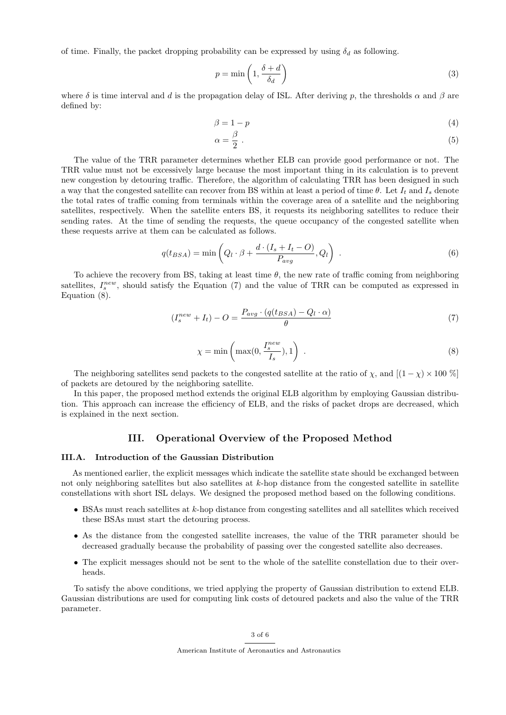of time. Finally, the packet dropping probability can be expressed by using  $\delta_d$  as following.

$$
p = \min\left(1, \frac{\delta + d}{\delta_d}\right) \tag{3}
$$

where  $\delta$  is time interval and *d* is the propagation delay of ISL. After deriving *p*, the thresholds  $\alpha$  and  $\beta$  are defined by:

$$
\beta = 1 - p \tag{4}
$$

$$
\alpha = \frac{\beta}{2} \tag{5}
$$

The value of the TRR parameter determines whether ELB can provide good performance or not. The TRR value must not be excessively large because the most important thing in its calculation is to prevent new congestion by detouring traffic. Therefore, the algorithm of calculating TRR has been designed in such a way that the congested satellite can recover from BS within at least a period of time  $\theta$ . Let  $I_t$  and  $I_s$  denote the total rates of traffic coming from terminals within the coverage area of a satellite and the neighboring satellites, respectively. When the satellite enters BS, it requests its neighboring satellites to reduce their sending rates. At the time of sending the requests, the queue occupancy of the congested satellite when these requests arrive at them can be calculated as follows.

$$
q(t_{BSA}) = \min\left(Q_l \cdot \beta + \frac{d \cdot (I_s + I_t - O)}{P_{avg}}, Q_l\right) . \tag{6}
$$

To achieve the recovery from BS, taking at least time  $\theta$ , the new rate of traffic coming from neighboring satellites,  $I_s^{new}$ , should satisfy the Equation (7) and the value of TRR can be computed as expressed in Equation (8).

$$
(I_s^{new} + I_t) - O = \frac{P_{avg} \cdot (q(t_{BSA}) - Q_l \cdot \alpha)}{\theta} \tag{7}
$$

$$
\chi = \min\left(\max(0, \frac{I_s^{new}}{I_s}), 1\right) \tag{8}
$$

The neighboring satellites send packets to the congested satellite at the ratio of  $\chi$ , and  $[(1 - \chi) \times 100\%]$ of packets are detoured by the neighboring satellite.

In this paper, the proposed method extends the original ELB algorithm by employing Gaussian distribution. This approach can increase the efficiency of ELB, and the risks of packet drops are decreased, which is explained in the next section.

# **III. Operational Overview of the Proposed Method**

#### **III.A. Introduction of the Gaussian Distribution**

As mentioned earlier, the explicit messages which indicate the satellite state should be exchanged between not only neighboring satellites but also satellites at *k*-hop distance from the congested satellite in satellite constellations with short ISL delays. We designed the proposed method based on the following conditions.

- *•* BSAs must reach satellites at *k*-hop distance from congesting satellites and all satellites which received these BSAs must start the detouring process.
- As the distance from the congested satellite increases, the value of the TRR parameter should be decreased gradually because the probability of passing over the congested satellite also decreases.
- The explicit messages should not be sent to the whole of the satellite constellation due to their overheads.

To satisfy the above conditions, we tried applying the property of Gaussian distribution to extend ELB. Gaussian distributions are used for computing link costs of detoured packets and also the value of the TRR parameter.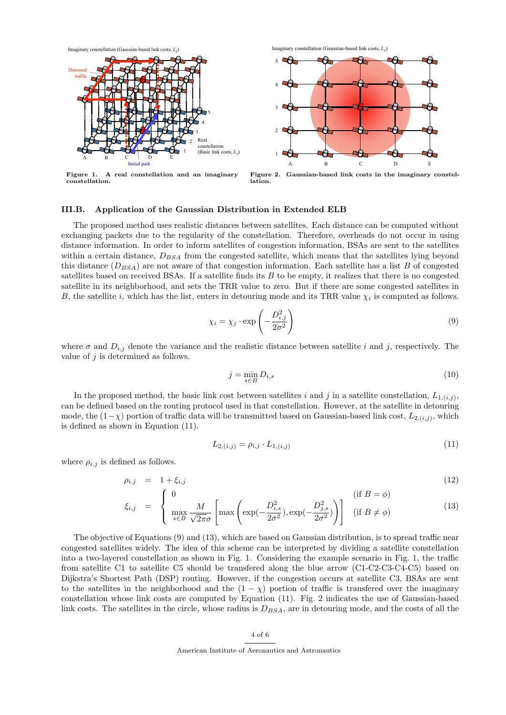

**Figure 1. A real constellation and an imaginary constellation.**



**Figure 2. Gaussian-based link costs in the imaginary constellation.**

#### **III.B. Application of the Gaussian Distribution in Extended ELB**

The proposed method uses realistic distances between satellites. Each distance can be computed without exchanging packets due to the regularity of the constellation. Therefore, overheads do not occur in using distance information. In order to inform satellites of congestion information, BSAs are sent to the satellites within a certain distance,  $D_{BSA}$  from the congested satellite, which means that the satellites lying beyond this distance (*DBSA*) are not aware of that congestion information. Each satellite has a list *B* of congested satellites based on received BSAs. If a satellite finds its *B* to be empty, it realizes that there is no congested satellite in its neighborhood, and sets the TRR value to zero. But if there are some congested satellites in *B*, the satellite *i*, which has the list, enters in detouring mode and its TRR value  $\chi_i$  is computed as follows.

$$
\chi_i = \chi_j \cdot \exp\left(-\frac{D_{i,j}^2}{2\sigma^2}\right) \tag{9}
$$

where  $\sigma$  and  $D_{i,j}$  denote the variance and the realistic distance between satellite *i* and *j*, respectively. The value of *j* is determined as follows.

$$
j = \min_{s \in B} D_{i,s} \tag{10}
$$

In the proposed method, the basic link cost between satellites  $i$  and  $j$  in a satellite constellation,  $L_{1,(i,j)}$ , can be defined based on the routing protocol used in that constellation. However, at the satellite in detouring mode, the (1*−χ*) portion of traffic data will be transmitted based on Gaussian-based link cost, *L*2*,*(*i,j*) , which is defined as shown in Equation (11).

$$
L_{2,(i,j)} = \rho_{i,j} \cdot L_{1,(i,j)} \tag{11}
$$

where  $\rho_{i,j}$  is defined as follows.

$$
\rho_{i,j} = 1 + \xi_{i,j} \tag{12}
$$
\n
$$
\zeta_{i,j} = \zeta_{i,j} \tag{12}
$$

$$
\xi_{i,j} = \begin{cases}\n0 & \text{if } B = \phi \\
\max_{s \in B} \frac{M}{\sqrt{2\pi}\sigma} \left[ \max \left( \exp(-\frac{D_{i,s}^2}{2\sigma^2}), \exp(-\frac{D_{j,s}^2}{2\sigma^2}) \right) \right] & \text{if } B \neq \phi\n\end{cases}
$$
\n(13)

The objective of Equations (9) and (13), which are based on Gaussian distribution, is to spread traffic near congested satellites widely. The idea of this scheme can be interpreted by dividing a satellite constellation into a two-layered constellation as shown in Fig. 1. Considering the example scenario in Fig. 1, the traffic from satellite C1 to satellite C5 should be transfered along the blue arrow (C1-C2-C3-C4-C5) based on Dijkstra's Shortest Path (DSP) routing. However, if the congestion occurs at satellite C3, BSAs are sent to the satellites in the neighborhood and the  $(1 - \chi)$  portion of traffic is transfered over the imaginary constellation whose link costs are computed by Equation (11). Fig. 2 indicates the use of Gaussian-based link costs. The satellites in the circle, whose radius is  $D_{BSA}$ , are in detouring mode, and the costs of all the

# 4 of 6

American Institute of Aeronautics and Astronautics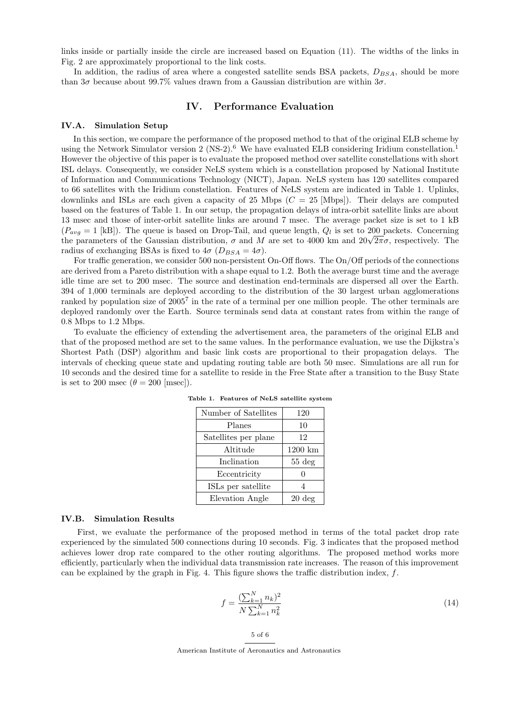links inside or partially inside the circle are increased based on Equation (11). The widths of the links in Fig. 2 are approximately proportional to the link costs.

In addition, the radius of area where a congested satellite sends BSA packets,  $D_{BSA}$ , should be more than 3*σ* because about 99.7% values drawn from a Gaussian distribution are within 3*σ*.

## **IV. Performance Evaluation**

#### **IV.A. Simulation Setup**

In this section, we compare the performance of the proposed method to that of the original ELB scheme by using the Network Simulator version  $2 \text{ (NS-2)}$ .<sup>6</sup> We have evaluated ELB considering Iridium constellation.<sup>1</sup> However the objective of this paper is to evaluate the proposed method over satellite constellations with short ISL delays. Consequently, we consider NeLS system which is a constellation proposed by National Institute of Information and Communications Technology (NICT), Japan. NeLS system has 120 satellites compared to 66 satellites with the Iridium constellation. Features of NeLS system are indicated in Table 1. Uplinks, downlinks and ISLs are each given a capacity of 25 Mbps  $(C = 25$  [Mbps]). Their delays are computed based on the features of Table 1. In our setup, the propagation delays of intra-orbit satellite links are about 13 msec and those of inter-orbit satellite links are around 7 msec. The average packet size is set to 1 kB  $(P_{avg} = 1$  [kB]). The queue is based on Drop-Tail, and queue length,  $Q_l$  is set to 200 packets. Concerning the parameters of the Gaussian distribution,  $\sigma$  and *M* are set to 4000 km and  $20\sqrt{2\pi}\sigma$ , respectively. The radius of exchanging BSAs is fixed to  $4\sigma$  ( $D_{BSA} = 4\sigma$ ).

For traffic generation, we consider 500 non-persistent On-Off flows. The On/Off periods of the connections are derived from a Pareto distribution with a shape equal to 1.2. Both the average burst time and the average idle time are set to 200 msec. The source and destination end-terminals are dispersed all over the Earth. 394 of 1,000 terminals are deployed according to the distribution of the 30 largest urban agglomerations ranked by population size of 2005<sup>7</sup> in the rate of a terminal per one million people. The other terminals are deployed randomly over the Earth. Source terminals send data at constant rates from within the range of 0.8 Mbps to 1.2 Mbps.

To evaluate the efficiency of extending the advertisement area, the parameters of the original ELB and that of the proposed method are set to the same values. In the performance evaluation, we use the Dijkstra's Shortest Path (DSP) algorithm and basic link costs are proportional to their propagation delays. The intervals of checking queue state and updating routing table are both 50 msec. Simulations are all run for 10 seconds and the desired time for a satellite to reside in the Free State after a transition to the Busy State is set to 200 msec  $(\theta = 200$  [msec]).

| Number of Satellites | 120              |
|----------------------|------------------|
| Planes               | 10               |
| Satellites per plane | 12               |
| Altitude             | 1200 km          |
| Inclination          | $55 \deg$        |
| Eccentricity         |                  |
| ISLs per satellite   |                  |
| Elevation Angle      | $20 \text{ deg}$ |

**Table 1. Features of NeLS satellite system**

#### **IV.B. Simulation Results**

First, we evaluate the performance of the proposed method in terms of the total packet drop rate experienced by the simulated 500 connections during 10 seconds. Fig. 3 indicates that the proposed method achieves lower drop rate compared to the other routing algorithms. The proposed method works more efficiently, particularly when the individual data transmission rate increases. The reason of this improvement can be explained by the graph in Fig. 4. This figure shows the traffic distribution index, *f*.

$$
f = \frac{\left(\sum_{k=1}^{N} n_k\right)^2}{N \sum_{k=1}^{N} n_k^2} \tag{14}
$$

5 of 6

American Institute of Aeronautics and Astronautics